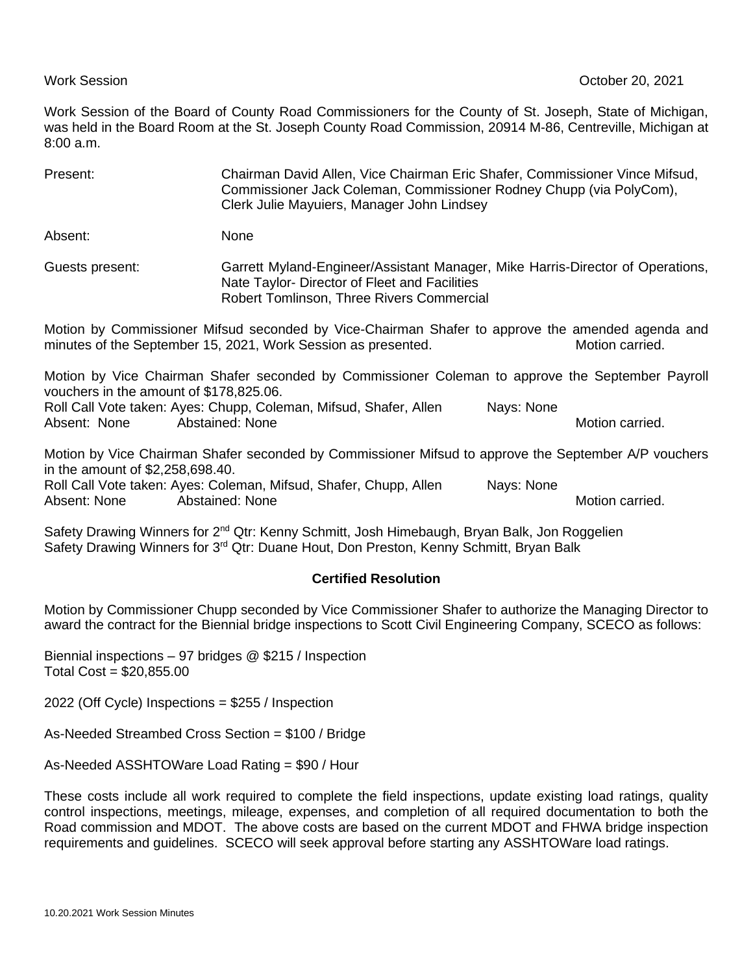Work Session of the Board of County Road Commissioners for the County of St. Joseph, State of Michigan, was held in the Board Room at the St. Joseph County Road Commission, 20914 M-86, Centreville, Michigan at 8:00 a.m.

| Present:        | Chairman David Allen, Vice Chairman Eric Shafer, Commissioner Vince Mifsud,<br>Commissioner Jack Coleman, Commissioner Rodney Chupp (via PolyCom),<br>Clerk Julie Mayuiers, Manager John Lindsey |
|-----------------|--------------------------------------------------------------------------------------------------------------------------------------------------------------------------------------------------|
| Absent:         | None                                                                                                                                                                                             |
| Guests present: | Garrett Myland-Engineer/Assistant Manager, Mike Harris-Director of Operations,<br>Nate Taylor- Director of Fleet and Facilities<br>Robert Tomlinson, Three Rivers Commercial                     |
|                 | Motion by Commissioner Mifsud seconded by Vice-Chairman Shafer to approve the amended agenda and<br>minutes of the September 15, 2021, Work Session as presented.<br>Motion carried.             |

Motion by Vice Chairman Shafer seconded by Commissioner Coleman to approve the September Payroll vouchers in the amount of \$178,825.06.

Roll Call Vote taken: Ayes: Chupp, Coleman, Mifsud, Shafer, Allen Nays: None Absent: None Abstained: None Abstained: None Motion carried.

Motion by Vice Chairman Shafer seconded by Commissioner Mifsud to approve the September A/P vouchers in the amount of \$2,258,698.40.

Roll Call Vote taken: Ayes: Coleman, Mifsud, Shafer, Chupp, Allen Nays: None Absent: None Abstained: None Motion carried. Absent: None Motion carried.

Safety Drawing Winners for 2<sup>nd</sup> Qtr: Kenny Schmitt, Josh Himebaugh, Bryan Balk, Jon Roggelien Safety Drawing Winners for 3<sup>rd</sup> Qtr: Duane Hout, Don Preston, Kenny Schmitt, Bryan Balk

## **Certified Resolution**

Motion by Commissioner Chupp seconded by Vice Commissioner Shafer to authorize the Managing Director to award the contract for the Biennial bridge inspections to Scott Civil Engineering Company, SCECO as follows:

Biennial inspections – 97 bridges @ \$215 / Inspection Total Cost = \$20,855.00

2022 (Off Cycle) Inspections = \$255 / Inspection

As-Needed Streambed Cross Section = \$100 / Bridge

As-Needed ASSHTOWare Load Rating = \$90 / Hour

These costs include all work required to complete the field inspections, update existing load ratings, quality control inspections, meetings, mileage, expenses, and completion of all required documentation to both the Road commission and MDOT. The above costs are based on the current MDOT and FHWA bridge inspection requirements and guidelines. SCECO will seek approval before starting any ASSHTOWare load ratings.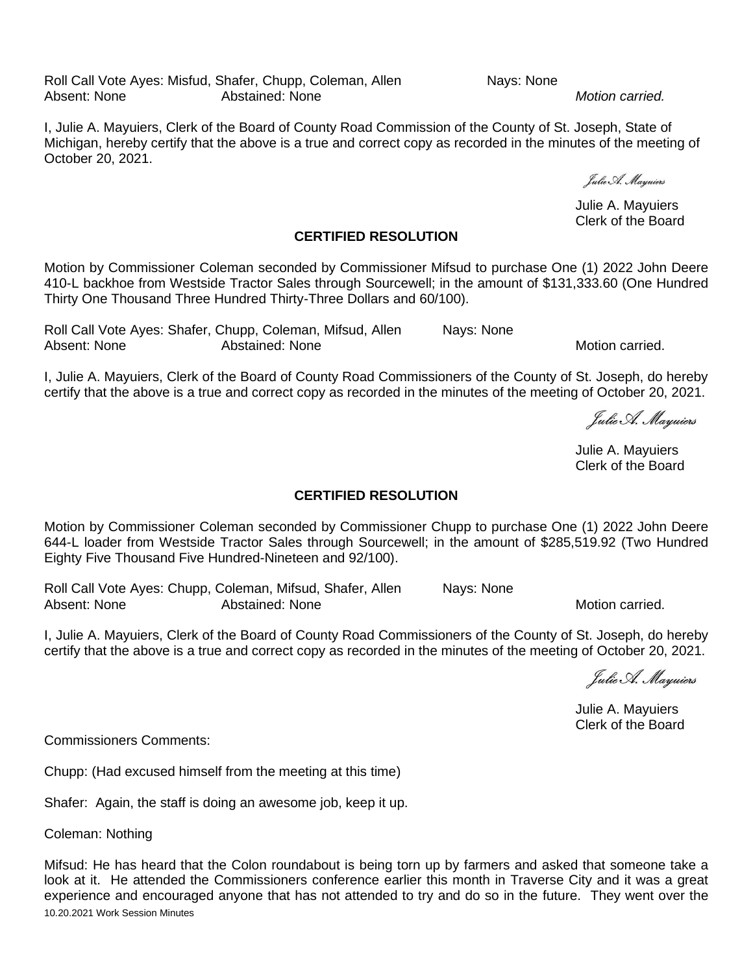Roll Call Vote Ayes: Misfud, Shafer, Chupp, Coleman, Allen Nays: None<br>Absent: None Abstained: None Abstained: None **Abstained:** None **Abstained**.

I, Julie A. Mayuiers, Clerk of the Board of County Road Commission of the County of St. Joseph, State of Michigan, hereby certify that the above is a true and correct copy as recorded in the minutes of the meeting of October 20, 2021.

Julie A. Mayuiers Clerk of the Board

## **CERTIFIED RESOLUTION**

Motion by Commissioner Coleman seconded by Commissioner Mifsud to purchase One (1) 2022 John Deere 410-L backhoe from Westside Tractor Sales through Sourcewell; in the amount of \$131,333.60 (One Hundred Thirty One Thousand Three Hundred Thirty-Three Dollars and 60/100).

Roll Call Vote Ayes: Shafer, Chupp, Coleman, Mifsud, Allen Nays: None Absent: None **Abstained: None** Motion carried.

I, Julie A. Mayuiers, Clerk of the Board of County Road Commissioners of the County of St. Joseph, do hereby certify that the above is a true and correct copy as recorded in the minutes of the meeting of October 20, 2021.

Julie A. Mayuiers

Julie A. Mayuiers Clerk of the Board

## **CERTIFIED RESOLUTION**

Motion by Commissioner Coleman seconded by Commissioner Chupp to purchase One (1) 2022 John Deere 644-L loader from Westside Tractor Sales through Sourcewell; in the amount of \$285,519.92 (Two Hundred Eighty Five Thousand Five Hundred-Nineteen and 92/100).

Roll Call Vote Ayes: Chupp, Coleman, Mifsud, Shafer, Allen Nays: None<br>Absent: None Abstained: None Abstained: None **Motion Carried.** Abstained: None

I, Julie A. Mayuiers, Clerk of the Board of County Road Commissioners of the County of St. Joseph, do hereby certify that the above is a true and correct copy as recorded in the minutes of the meeting of October 20, 2021.

Eulie A. Mariniers

Julie A. Mayuiers Clerk of the Board

Commissioners Comments:

Chupp: (Had excused himself from the meeting at this time)

Shafer: Again, the staff is doing an awesome job, keep it up.

Coleman: Nothing

10.20.2021 Work Session Minutes Mifsud: He has heard that the Colon roundabout is being torn up by farmers and asked that someone take a look at it. He attended the Commissioners conference earlier this month in Traverse City and it was a great experience and encouraged anyone that has not attended to try and do so in the future. They went over the

Julie A. Mayuiers